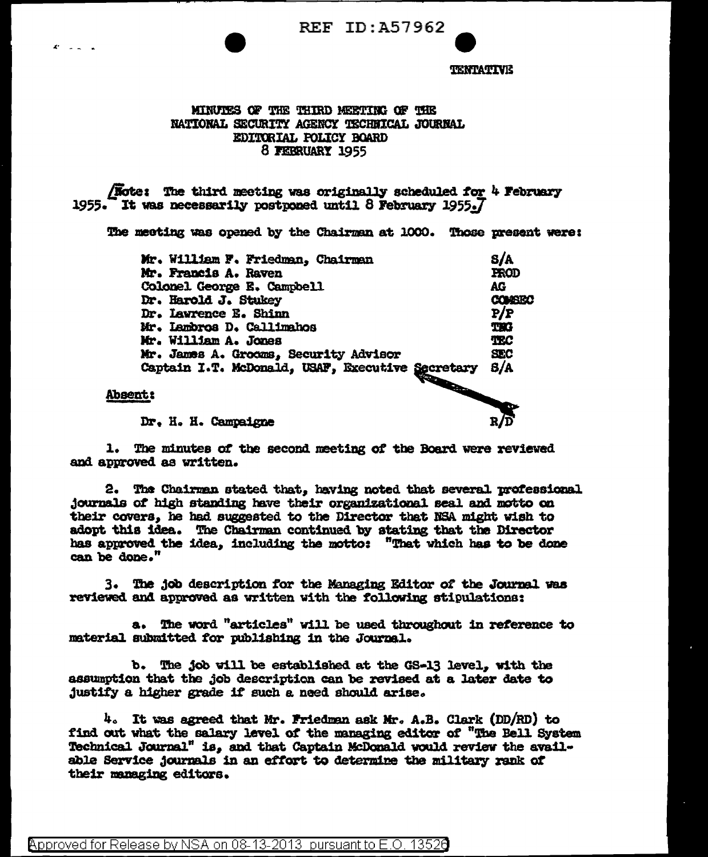**REF ID: A57962** 



**TENTATIVE** 

## MINUTES OF THE THIRD MEETING OF THE NATIONAL SECURITY AGENCY TECHNICAL JOURNAL EDITORIAL POLICY BOARD 8 FEBRUARY 1955

**Note:** The third meeting was originally scheduled for 4 February 1955. It was necessarily postponed until 8 February 1955.7

The meeting was opened by the Chairman at 1000. Those present were:

| Mr. William F. Friedman, Chairman                                                           | S/A             |
|---------------------------------------------------------------------------------------------|-----------------|
| Mr. Francis A. Raven                                                                        | <b>FROD</b>     |
| Colonel George E. Campbell                                                                  | AG              |
| Dr. Harold J. Stukey                                                                        | <b>CONSEC</b>   |
| Dr. Lawrence E. Shinn                                                                       | P/P             |
| Mr. Lambros D. Callimahos                                                                   | THG             |
| Mr. William A. Jones                                                                        | TEC <sup></sup> |
| Mr. James A. Grocms, Security Advisor                                                       | <b>SEC</b>      |
| Mr. James A. Groens, Security Secretary<br>Captain I.T. McDonald, USAF, Executive Secretary | 8/A             |
| ے نام                                                                                       |                 |

**Absent:** 

Dr. H. H. Campaigne

1. The minutes of the second meeting of the Board were reviewed and approved as written.

2. The Chairman stated that, having noted that several professional journals of high standing have their organizational seal and motto on their covers, he had suggested to the Director that NSA might wish to adopt this idea. The Chairman continued by stating that the Director has approved the idea, including the motto: "That which has to be done can be done."

3. The job description for the Managing Editor of the Journal was reviewed and approved as written with the following stipulations:

The word "articles" will be used throughout in reference to a. material submitted for publishing in the Journal.

b. The job will be established at the GS-13 level. with the assumption that the job description can be revised at a later date to justify a higher grade if such a need should arise.

4. It was agreed that Mr. Friedman ask Mr. A.B. Clark (DD/RD) to find out what the salary level of the managing editor of "The Bell System Technical Journal" is, and that Captain McDonald would review the available Service journals in an effort to determine the military rank of their managing editors.